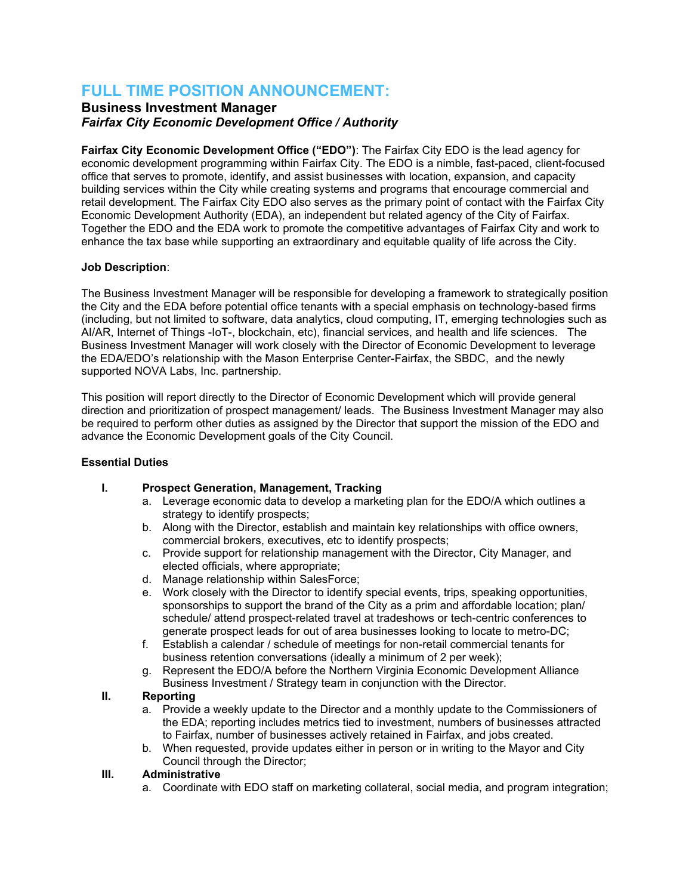# **FULL TIME POSITION ANNOUNCEMENT:**

## **Business Investment Manager** *Fairfax City Economic Development Office / Authority*

**Fairfax City Economic Development Office ("EDO")**: The Fairfax City EDO is the lead agency for economic development programming within Fairfax City. The EDO is a nimble, fast-paced, client-focused office that serves to promote, identify, and assist businesses with location, expansion, and capacity building services within the City while creating systems and programs that encourage commercial and retail development. The Fairfax City EDO also serves as the primary point of contact with the Fairfax City Economic Development Authority (EDA), an independent but related agency of the City of Fairfax. Together the EDO and the EDA work to promote the competitive advantages of Fairfax City and work to enhance the tax base while supporting an extraordinary and equitable quality of life across the City.

### **Job Description**:

The Business Investment Manager will be responsible for developing a framework to strategically position the City and the EDA before potential office tenants with a special emphasis on technology-based firms (including, but not limited to software, data analytics, cloud computing, IT, emerging technologies such as AI/AR, Internet of Things -IoT-, blockchain, etc), financial services, and health and life sciences. The Business Investment Manager will work closely with the Director of Economic Development to leverage the EDA/EDO's relationship with the Mason Enterprise Center-Fairfax, the SBDC, and the newly supported NOVA Labs, Inc. partnership.

This position will report directly to the Director of Economic Development which will provide general direction and prioritization of prospect management/ leads. The Business Investment Manager may also be required to perform other duties as assigned by the Director that support the mission of the EDO and advance the Economic Development goals of the City Council.

### **Essential Duties**

## **I. Prospect Generation, Management, Tracking**

- a. Leverage economic data to develop a marketing plan for the EDO/A which outlines a strategy to identify prospects;
- b. Along with the Director, establish and maintain key relationships with office owners, commercial brokers, executives, etc to identify prospects;
- c. Provide support for relationship management with the Director, City Manager, and elected officials, where appropriate;
- d. Manage relationship within SalesForce;
- e. Work closely with the Director to identify special events, trips, speaking opportunities, sponsorships to support the brand of the City as a prim and affordable location; plan/ schedule/ attend prospect-related travel at tradeshows or tech-centric conferences to generate prospect leads for out of area businesses looking to locate to metro-DC;
- f. Establish a calendar / schedule of meetings for non-retail commercial tenants for business retention conversations (ideally a minimum of 2 per week);
- g. Represent the EDO/A before the Northern Virginia Economic Development Alliance Business Investment / Strategy team in conjunction with the Director.

### **II. Reporting**

- a. Provide a weekly update to the Director and a monthly update to the Commissioners of the EDA; reporting includes metrics tied to investment, numbers of businesses attracted to Fairfax, number of businesses actively retained in Fairfax, and jobs created.
- b. When requested, provide updates either in person or in writing to the Mayor and City Council through the Director;

### **III. Administrative**

a. Coordinate with EDO staff on marketing collateral, social media, and program integration;